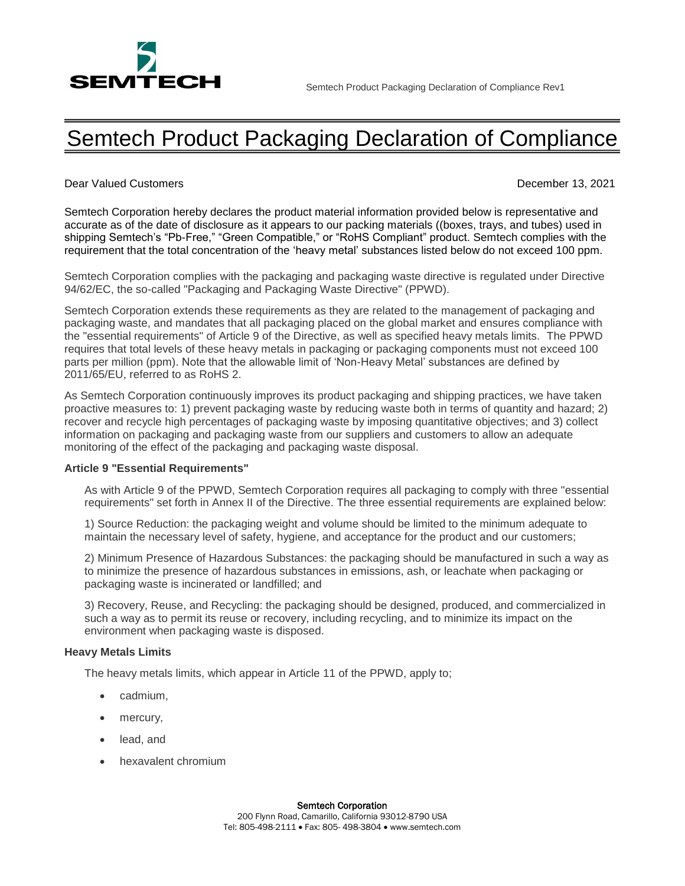

## Semtech Product Packaging Declaration of Compliance

Dear Valued Customers December 13, 2021

Semtech Corporation hereby declares the product material information provided below is representative and accurate as of the date of disclosure as it appears to our packing materials ((boxes, trays, and tubes) used in shipping Semtech's "Pb-Free," "Green Compatible," or "RoHS Compliant" product. Semtech complies with the requirement that the total concentration of the 'heavy metal' substances listed below do not exceed 100 ppm.

Semtech Corporation complies with the packaging and packaging waste directive is regulated under Directive 94/62/EC, the so-called "Packaging and Packaging Waste Directive" (PPWD).

Semtech Corporation extends these requirements as they are related to the management of packaging and packaging waste, and mandates that all packaging placed on the global market and ensures compliance with the "essential requirements" of Article 9 of the Directive, as well as specified heavy metals limits. The PPWD requires that total levels of these heavy metals in packaging or packaging components must not exceed 100 parts per million (ppm). Note that the allowable limit of 'Non-Heavy Metal' substances are defined by 2011/65/EU, referred to as RoHS 2.

As Semtech Corporation continuously improves its product packaging and shipping practices, we have taken proactive measures to: 1) prevent packaging waste by reducing waste both in terms of quantity and hazard; 2) recover and recycle high percentages of packaging waste by imposing quantitative objectives; and 3) collect information on packaging and packaging waste from our suppliers and customers to allow an adequate monitoring of the effect of the packaging and packaging waste disposal.

## **Article 9 "Essential Requirements"**

As with Article 9 of the PPWD, Semtech Corporation requires all packaging to comply with three "essential requirements" set forth in Annex II of the Directive. The three essential requirements are explained below:

1) Source Reduction: the packaging weight and volume should be limited to the minimum adequate to maintain the necessary level of safety, hygiene, and acceptance for the product and our customers;

2) Minimum Presence of Hazardous Substances: the packaging should be manufactured in such a way as to minimize the presence of hazardous substances in emissions, ash, or leachate when packaging or packaging waste is incinerated or landfilled; and

3) Recovery, Reuse, and Recycling: the packaging should be designed, produced, and commercialized in such a way as to permit its reuse or recovery, including recycling, and to minimize its impact on the environment when packaging waste is disposed.

## **Heavy Metals Limits**

The heavy metals limits, which appear in Article 11 of the PPWD, apply to;

- cadmium,
- mercury,
- lead, and
- hexavalent chromium

## Semtech Corporation

200 Flynn Road, Camarillo, California 93012-8790 USA Tel: 805-498-2111 Fax: 805- 498-3804 www.semtech.com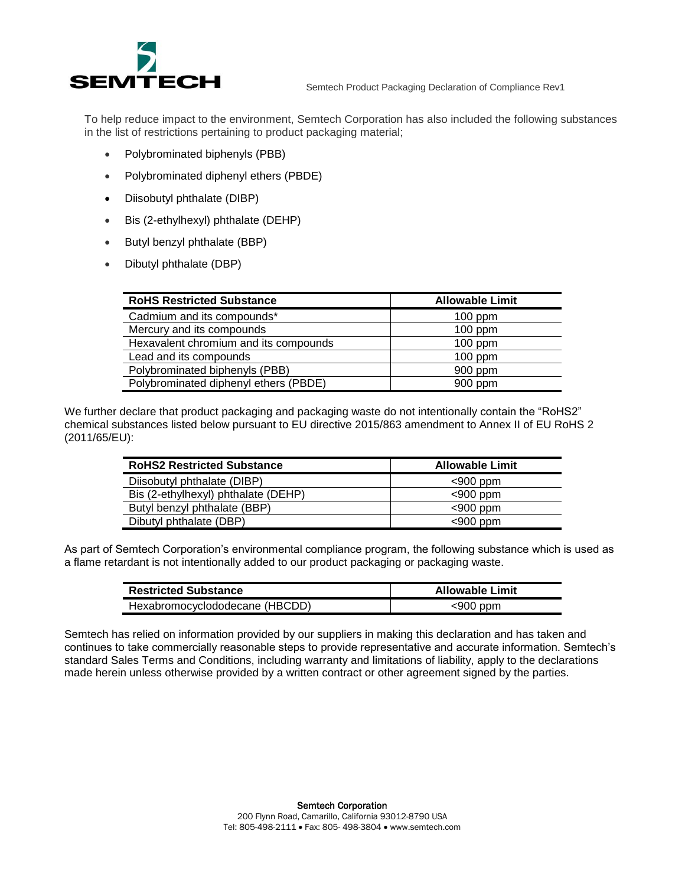

To help reduce impact to the environment, Semtech Corporation has also included the following substances in the list of restrictions pertaining to product packaging material;

- Polybrominated biphenyls (PBB)
- Polybrominated diphenyl ethers (PBDE)
- Diisobutyl phthalate (DIBP)
- Bis (2-ethylhexyl) phthalate (DEHP)
- Butyl benzyl phthalate (BBP)
- Dibutyl phthalate (DBP)

| <b>RoHS Restricted Substance</b>      | <b>Allowable Limit</b> |
|---------------------------------------|------------------------|
| Cadmium and its compounds*            | $100$ ppm              |
| Mercury and its compounds             | $100$ ppm              |
| Hexavalent chromium and its compounds | $100$ ppm              |
| Lead and its compounds                | $100$ ppm              |
| Polybrominated biphenyls (PBB)        | 900 ppm                |
| Polybrominated diphenyl ethers (PBDE) | $900$ ppm              |

We further declare that product packaging and packaging waste do not intentionally contain the "RoHS2" chemical substances listed below pursuant to EU directive 2015/863 amendment to Annex II of EU RoHS 2 (2011/65/EU):

| <b>RoHS2 Restricted Substance</b>   | <b>Allowable Limit</b> |
|-------------------------------------|------------------------|
| Diisobutyl phthalate (DIBP)         | $<$ 900 ppm            |
| Bis (2-ethylhexyl) phthalate (DEHP) | $<$ 900 ppm            |
| Butyl benzyl phthalate (BBP)        | $<$ 900 ppm            |
| Dibutyl phthalate (DBP)             | $<$ 900 ppm            |

As part of Semtech Corporation's environmental compliance program, the following substance which is used as a flame retardant is not intentionally added to our product packaging or packaging waste.

| <b>Restricted Substance</b>    | <b>Allowable Limit</b> |
|--------------------------------|------------------------|
| Hexabromocyclododecane (HBCDD) | $<$ 900 ppm            |

Semtech has relied on information provided by our suppliers in making this declaration and has taken and continues to take commercially reasonable steps to provide representative and accurate information. Semtech's standard Sales Terms and Conditions, including warranty and limitations of liability, apply to the declarations made herein unless otherwise provided by a written contract or other agreement signed by the parties.